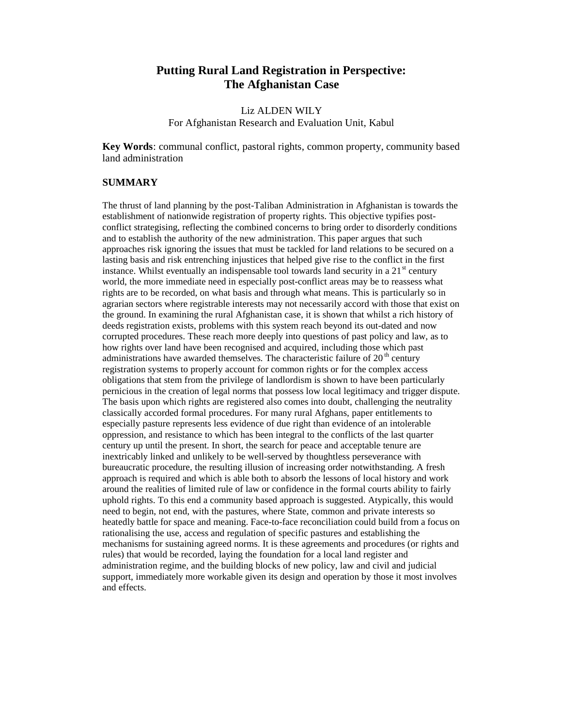# **Putting Rural Land Registration in Perspective: The Afghanistan Case**

## Liz ALDEN WILY For Afghanistan Research and Evaluation Unit, Kabul

**Key Words**: communal conflict, pastoral rights, common property, community based land administration

#### **SUMMARY**

The thrust of land planning by the post-Taliban Administration in Afghanistan is towards the establishment of nationwide registration of property rights. This objective typifies postconflict strategising, reflecting the combined concerns to bring order to disorderly conditions and to establish the authority of the new administration. This paper argues that such approaches risk ignoring the issues that must be tackled for land relations to be secured on a lasting basis and risk entrenching injustices that helped give rise to the conflict in the first instance. Whilst eventually an indispensable tool towards land security in a  $21<sup>st</sup>$  century world, the more immediate need in especially post-conflict areas may be to reassess what rights are to be recorded, on what basis and through what means. This is particularly so in agrarian sectors where registrable interests may not necessarily accord with those that exist on the ground. In examining the rural Afghanistan case, it is shown that whilst a rich history of deeds registration exists, problems with this system reach beyond its out-dated and now corrupted procedures. These reach more deeply into questions of past policy and law, as to how rights over land have been recognised and acquired, including those which past administrations have awarded themselves. The characteristic failure of  $20<sup>th</sup>$  century registration systems to properly account for common rights or for the complex access obligations that stem from the privilege of landlordism is shown to have been particularly pernicious in the creation of legal norms that possess low local legitimacy and trigger dispute. The basis upon which rights are registered also comes into doubt, challenging the neutrality classically accorded formal procedures. For many rural Afghans, paper entitlements to especially pasture represents less evidence of due right than evidence of an intolerable oppression, and resistance to which has been integral to the conflicts of the last quarter century up until the present. In short, the search for peace and acceptable tenure are inextricably linked and unlikely to be well-served by thoughtless perseverance with bureaucratic procedure, the resulting illusion of increasing order notwithstanding. A fresh approach is required and which is able both to absorb the lessons of local history and work around the realities of limited rule of law or confidence in the formal courts ability to fairly uphold rights. To this end a community based approach is suggested. Atypically, this would need to begin, not end, with the pastures, where State, common and private interests so heatedly battle for space and meaning. Face-to-face reconciliation could build from a focus on rationalising the use, access and regulation of specific pastures and establishing the mechanisms for sustaining agreed norms. It is these agreements and procedures (or rights and rules) that would be recorded, laying the foundation for a local land register and administration regime, and the building blocks of new policy, law and civil and judicial support, immediately more workable given its design and operation by those it most involves and effects.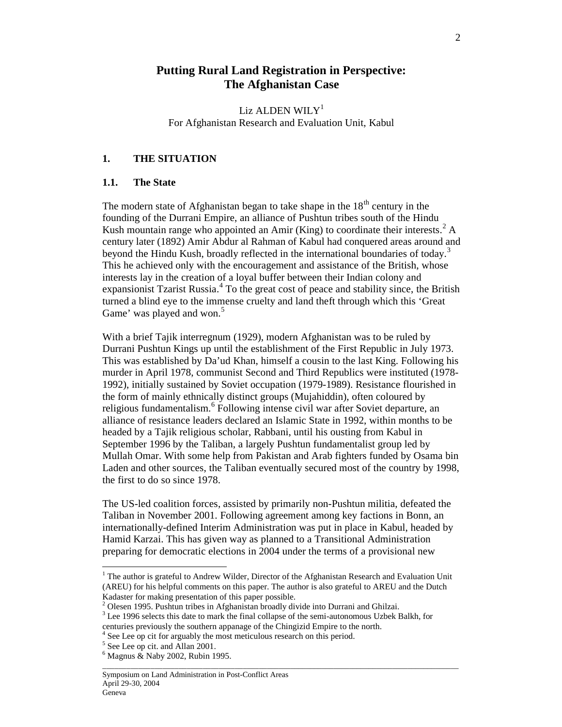# **Putting Rural Land Registration in Perspective: The Afghanistan Case**

Liz ALDEN WIL $Y<sup>1</sup>$ For Afghanistan Research and Evaluation Unit, Kabul

## **1. THE SITUATION**

## **1.1. The State**

The modern state of Afghanistan began to take shape in the  $18<sup>th</sup>$  century in the founding of the Durrani Empire, an alliance of Pushtun tribes south of the Hindu Kush mountain range who appointed an Amir (King) to coordinate their interests.<sup>2</sup> A century later (1892) Amir Abdur al Rahman of Kabul had conquered areas around and beyond the Hindu Kush, broadly reflected in the international boundaries of today.<sup>3</sup> This he achieved only with the encouragement and assistance of the British, whose interests lay in the creation of a loyal buffer between their Indian colony and expansionist Tzarist Russia.<sup>4</sup> To the great cost of peace and stability since, the British turned a blind eye to the immense cruelty and land theft through which this 'Great Game' was played and won.<sup>5</sup>

With a brief Tajik interregnum (1929), modern Afghanistan was to be ruled by Durrani Pushtun Kings up until the establishment of the First Republic in July 1973. This was established by Da'ud Khan, himself a cousin to the last King. Following his murder in April 1978, communist Second and Third Republics were instituted (1978- 1992), initially sustained by Soviet occupation (1979-1989). Resistance flourished in the form of mainly ethnically distinct groups (Mujahiddin), often coloured by religious fundamentalism.<sup>6</sup> Following intense civil war after Soviet departure, an alliance of resistance leaders declared an Islamic State in 1992, within months to be headed by a Tajik religious scholar, Rabbani, until his ousting from Kabul in September 1996 by the Taliban, a largely Pushtun fundamentalist group led by Mullah Omar. With some help from Pakistan and Arab fighters funded by Osama bin Laden and other sources, the Taliban eventually secured most of the country by 1998, the first to do so since 1978.

The US-led coalition forces, assisted by primarily non-Pushtun militia, defeated the Taliban in November 2001. Following agreement among key factions in Bonn, an internationally-defined Interim Administration was put in place in Kabul, headed by Hamid Karzai. This has given way as planned to a Transitional Administration preparing for democratic elections in 2004 under the terms of a provisional new

The author is grateful to Andrew Wilder, Director of the Afghanistan Research and Evaluation Unit (AREU) for his helpful comments on this paper. The author is also grateful to AREU and the Dutch Kadaster for making presentation of this paper possible.

<sup>&</sup>lt;sup>2</sup> Olesen 1995. Pushtun tribes in Afghanistan broadly divide into Durrani and Ghilzai.

<sup>&</sup>lt;sup>3</sup> Lee 1996 selects this date to mark the final collapse of the semi-autonomous Uzbek Balkh, for centuries previously the southern appanage of the Chingizid Empire to the north.

<sup>&</sup>lt;sup>4</sup> See Lee op cit for arguably the most meticulous research on this period.

<sup>&</sup>lt;sup>5</sup> See Lee op cit. and Allan 2001.

 $6$  Magnus  $\&$  Naby 2002, Rubin 1995.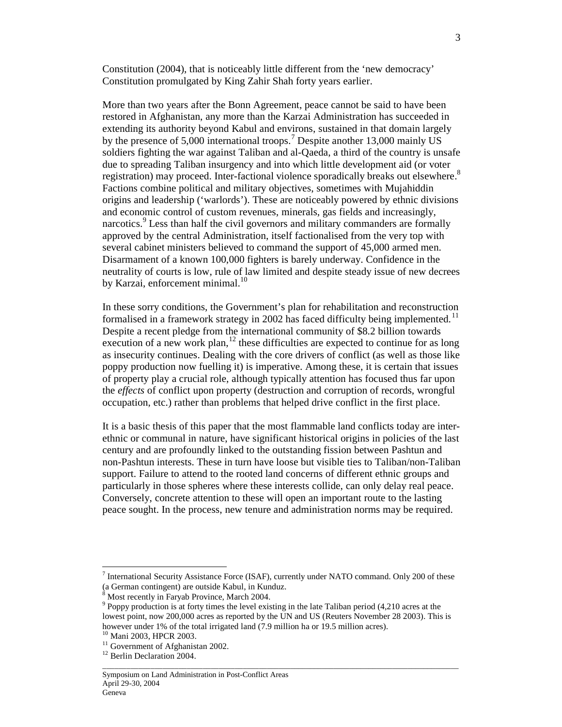Constitution (2004), that is noticeably little different from the 'new democracy' Constitution promulgated by King Zahir Shah forty years earlier.

More than two years after the Bonn Agreement, peace cannot be said to have been restored in Afghanistan, any more than the Karzai Administration has succeeded in extending its authority beyond Kabul and environs, sustained in that domain largely by the presence of 5,000 international troops.<sup>7</sup> Despite another 13,000 mainly US soldiers fighting the war against Taliban and al-Qaeda, a third of the country is unsafe due to spreading Taliban insurgency and into which little development aid (or voter registration) may proceed. Inter-factional violence sporadically breaks out elsewhere.<sup>8</sup> Factions combine political and military objectives, sometimes with Mujahiddin origins and leadership ('warlords'). These are noticeably powered by ethnic divisions and economic control of custom revenues, minerals, gas fields and increasingly, narcotics. 9 Less than half the civil governors and military commanders are formally approved by the central Administration, itself factionalised from the very top with several cabinet ministers believed to command the support of 45,000 armed men. Disarmament of a known 100,000 fighters is barely underway. Confidence in the neutrality of courts is low, rule of law limited and despite steady issue of new decrees by Karzai, enforcement minimal.<sup>10</sup>

In these sorry conditions, the Government's plan for rehabilitation and reconstruction formalised in a framework strategy in 2002 has faced difficulty being implemented.<sup>11</sup> Despite a recent pledge from the international community of \$8.2 billion towards execution of a new work plan, $^{12}$  these difficulties are expected to continue for as long as insecurity continues. Dealing with the core drivers of conflict (as well as those like poppy production now fuelling it) is imperative. Among these, it is certain that issues of property play a crucial role, although typically attention has focused thus far upon the *effects* of conflict upon property (destruction and corruption of records, wrongful occupation, etc.) rather than problems that helped drive conflict in the first place.

It is a basic thesis of this paper that the most flammable land conflicts today are interethnic or communal in nature, have significant historical origins in policies of the last century and are profoundly linked to the outstanding fission between Pashtun and non-Pashtun interests. These in turn have loose but visible ties to Taliban/non-Taliban support. Failure to attend to the rooted land concerns of different ethnic groups and particularly in those spheres where these interests collide, can only delay real peace. Conversely, concrete attention to these will open an important route to the lasting peace sought. In the process, new tenure and administration norms may be required.

\_\_\_\_\_\_\_\_\_\_\_\_\_\_\_\_\_\_\_\_\_\_\_\_\_\_\_\_\_\_\_\_\_\_\_\_\_\_\_\_\_\_\_\_\_\_\_\_\_\_\_\_\_\_\_\_\_\_\_\_\_\_\_\_\_\_\_\_\_\_\_\_\_\_\_\_\_\_\_\_\_\_\_\_\_\_\_\_\_\_

<sup>7</sup> International Security Assistance Force (ISAF), currently under NATO command. Only 200 of these (a German contingent) are outside Kabul, in Kunduz.

<sup>8</sup> Most recently in Faryab Province, March 2004.

<sup>&</sup>lt;sup>9</sup> Poppy production is at forty times the level existing in the late Taliban period (4,210 acres at the lowest point, now 200,000 acres as reported by the UN and US (Reuters November 28 2003). This is however under 1% of the total irrigated land (7.9 million ha or 19.5 million acres).

<sup>10</sup> Mani 2003, HPCR 2003.

<sup>&</sup>lt;sup>11</sup> Government of Afghanistan 2002.

<sup>&</sup>lt;sup>12</sup> Berlin Declaration 2004.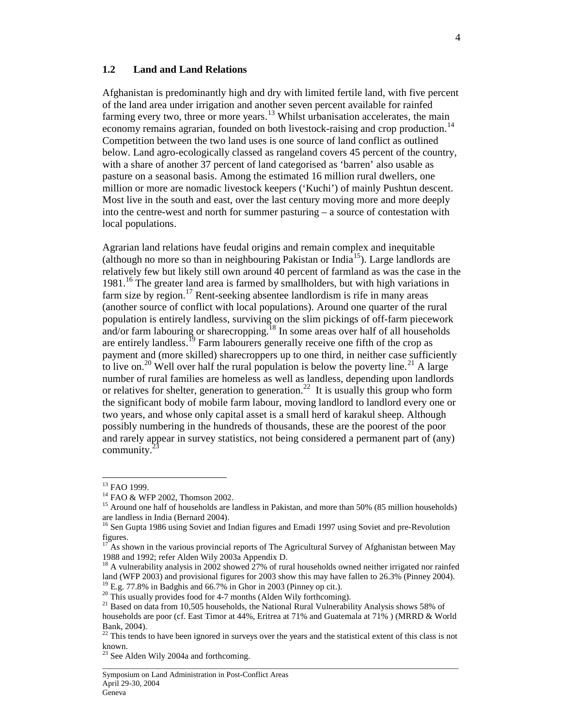#### **1.2 Land and Land Relations**

Afghanistan is predominantly high and dry with limited fertile land, with five percent of the land area under irrigation and another seven percent available for rainfed farming every two, three or more years.<sup>13</sup> Whilst urbanisation accelerates, the main economy remains agrarian, founded on both livestock-raising and crop production.<sup>14</sup> Competition between the two land uses is one source of land conflict as outlined below. Land agro-ecologically classed as rangeland covers 45 percent of the country, with a share of another 37 percent of land categorised as 'barren' also usable as pasture on a seasonal basis. Among the estimated 16 million rural dwellers, one million or more are nomadic livestock keepers ('Kuchi') of mainly Pushtun descent. Most live in the south and east, over the last century moving more and more deeply into the centre-west and north for summer pasturing – a source of contestation with local populations.

Agrarian land relations have feudal origins and remain complex and inequitable (although no more so than in neighbouring Pakistan or India<sup>15</sup>). Large landlords are relatively few but likely still own around 40 percent of farmland as was the case in the 1981.<sup>16</sup> The greater land area is farmed by smallholders, but with high variations in farm size by region.<sup>17</sup> Rent-seeking absentee landlordism is rife in many areas (another source of conflict with local populations). Around one quarter of the rural population is entirely landless, surviving on the slim pickings of off-farm piecework and/or farm labouring or sharecropping.<sup>18</sup> In some areas over half of all households are entirely landless.<sup>19</sup> Farm labourers generally receive one fifth of the crop as payment and (more skilled) sharecroppers up to one third, in neither case sufficiently to live on.<sup>20</sup> Well over half the rural population is below the poverty line.<sup>21</sup> A large number of rural families are homeless as well as landless, depending upon landlords or relatives for shelter, generation to generation.<sup>22</sup> It is usually this group who form the significant body of mobile farm labour, moving landlord to landlord every one or two years, and whose only capital asset is a small herd of karakul sheep. Although possibly numbering in the hundreds of thousands, these are the poorest of the poor and rarely appear in survey statistics, not being considered a permanent part of (any) community. 23

-

<sup>&</sup>lt;sup>13</sup> FAO 1999.

<sup>14</sup> FAO & WFP 2002, Thomson 2002.

<sup>&</sup>lt;sup>15</sup> Around one half of households are landless in Pakistan, and more than 50% (85 million households) are landless in India (Bernard 2004).

<sup>&</sup>lt;sup>16</sup> Sen Gupta 1986 using Soviet and Indian figures and Emadi 1997 using Soviet and pre-Revolution figures.

<sup>&</sup>lt;sup>17</sup> As shown in the various provincial reports of The Agricultural Survey of Afghanistan between May 1988 and 1992; refer Alden Wily 2003a Appendix D.

 $18$  A vulnerability analysis in 2002 showed  $27\%$  of rural households owned neither irrigated nor rainfed land (WFP 2003) and provisional figures for 2003 show this may have fallen to 26.3% (Pinney 2004).  $^{19}$  E.g. 77.8% in Badghis and 66.7% in Ghor in 2003 (Pinney op cit.).

 $20$  This usually provides food for 4-7 months (Alden Wily forthcoming).

 $21$  Based on data from 10,505 households, the National Rural Vulnerability Analysis shows 58% of households are poor (cf. East Timor at 44%, Eritrea at 71% and Guatemala at 71% ) (MRRD & World

Bank, 2004).

 $22$  This tends to have been ignored in surveys over the years and the statistical extent of this class is not known.

<sup>&</sup>lt;sup>23</sup> See Alden Wily 2004a and forthcoming.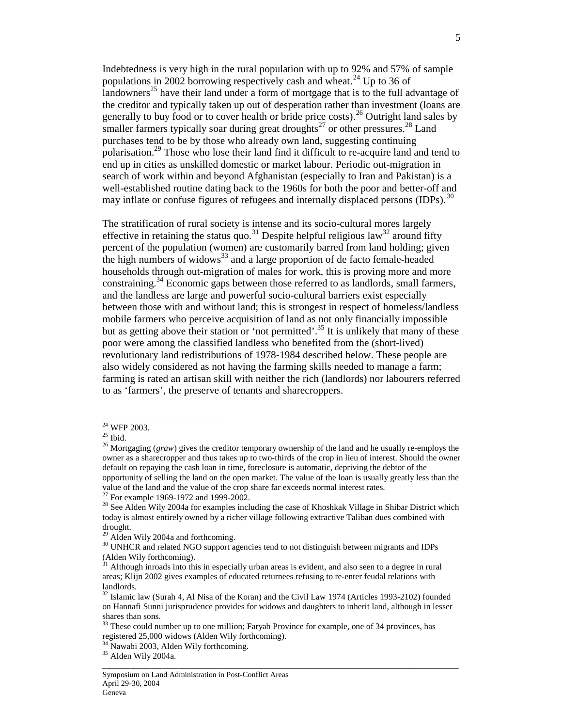Indebtedness is very high in the rural population with up to 92% and 57% of sample populations in 2002 borrowing respectively cash and wheat.<sup>24</sup> Up to 36 of landowners<sup>25</sup> have their land under a form of mortgage that is to the full advantage of the creditor and typically taken up out of desperation rather than investment (loans are generally to buy food or to cover health or bride price costs).<sup>26</sup> Outright land sales by smaller farmers typically soar during great droughts<sup>27</sup> or other pressures.<sup>28</sup> Land purchases tend to be by those who already own land, suggesting continuing polarisation.<sup>29</sup> Those who lose their land find it difficult to re-acquire land and tend to end up in cities as unskilled domestic or market labour. Periodic out-migration in search of work within and beyond Afghanistan (especially to Iran and Pakistan) is a well-established routine dating back to the 1960s for both the poor and better-off and may inflate or confuse figures of refugees and internally displaced persons (IDPs).<sup>30</sup>

The stratification of rural society is intense and its socio-cultural mores largely effective in retaining the status quo.<sup>31</sup> Despite helpful religious law<sup>32</sup> around fifty percent of the population (women) are customarily barred from land holding; given the high numbers of widows<sup>33</sup> and a large proportion of de facto female-headed households through out-migration of males for work, this is proving more and more constraining. <sup>34</sup> Economic gaps between those referred to as landlords, small farmers, and the landless are large and powerful socio-cultural barriers exist especially between those with and without land; this is strongest in respect of homeless/landless mobile farmers who perceive acquisition of land as not only financially impossible but as getting above their station or 'not permitted'.<sup>35</sup> It is unlikely that many of these poor were among the classified landless who benefited from the (short-lived) revolutionary land redistributions of 1978-1984 described below. These people are also widely considered as not having the farming skills needed to manage a farm; farming is rated an artisan skill with neither the rich (landlords) nor labourers referred to as 'farmers', the preserve of tenants and sharecroppers.

-

 $24$  WFP 2003.

 $25$  Ibid.

<sup>&</sup>lt;sup>26</sup> Mortgaging (*graw*) gives the creditor temporary ownership of the land and he usually re-employs the owner as a sharecropper and thus takes up to two-thirds of the crop in lieu of interest. Should the owner default on repaying the cash loan in time, foreclosure is automatic, depriving the debtor of the opportunity of selling the land on the open market. The value of the loan is usually greatly less than the value of the land and the value of the crop share far exceeds normal interest rates.

<sup>&</sup>lt;sup>27</sup> For example 1969-1972 and 1999-2002.

<sup>&</sup>lt;sup>28</sup> See Alden Wily 2004a for examples including the case of Khoshkak Village in Shibar District which today is almost entirely owned by a richer village following extractive Taliban dues combined with drought.

 $29$  Alden Wily 2004a and forthcoming.

<sup>30</sup> UNHCR and related NGO support agencies tend to not distinguish between migrants and IDPs (Alden Wily forthcoming).

<sup>&</sup>lt;sup>31</sup> Although inroads into this in especially urban areas is evident, and also seen to a degree in rural areas; Klijn 2002 gives examples of educated returnees refusing to re-enter feudal relations with landlords.

 $\frac{32 \text{ Islam}}{32}$  Islamic law (Surah 4, Al Nisa of the Koran) and the Civil Law 1974 (Articles 1993-2102) founded on Hannafi Sunni jurisprudence provides for widows and daughters to inherit land, although in lesser shares than sons.

 $33$  These could number up to one million; Faryab Province for example, one of 34 provinces, has registered 25,000 widows (Alden Wily forthcoming).

<sup>&</sup>lt;sup>34</sup> Nawabi 2003, Alden Wily forthcoming.

<sup>35</sup> Alden Wily 2004a.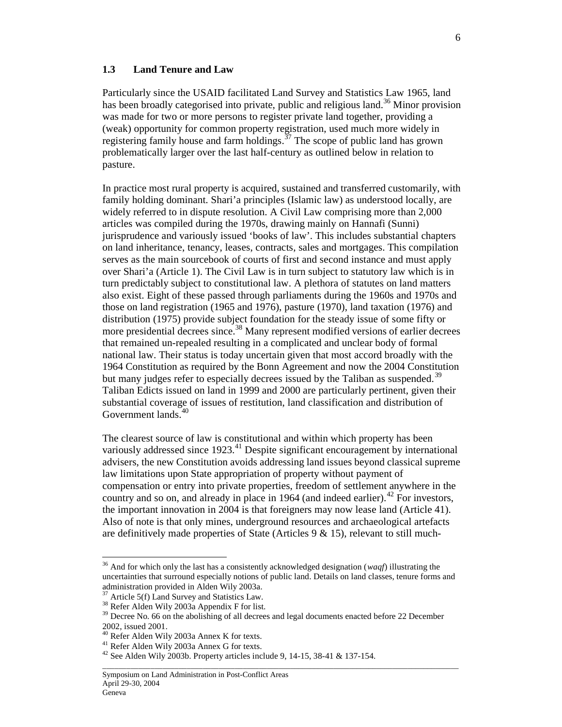#### **1.3 Land Tenure and Law**

Particularly since the USAID facilitated Land Survey and Statistics Law 1965, land has been broadly categorised into private, public and religious land.<sup>36</sup> Minor provision was made for two or more persons to register private land together, providing a (weak) opportunity for common property registration, used much more widely in registering family house and farm holdings.<sup> $37$ </sup> The scope of public land has grown problematically larger over the last half-century as outlined below in relation to pasture.

In practice most rural property is acquired, sustained and transferred customarily, with family holding dominant. Shari'a principles (Islamic law) as understood locally, are widely referred to in dispute resolution. A Civil Law comprising more than 2,000 articles was compiled during the 1970s, drawing mainly on Hannafi (Sunni) jurisprudence and variously issued 'books of law'. This includes substantial chapters on land inheritance, tenancy, leases, contracts, sales and mortgages. This compilation serves as the main sourcebook of courts of first and second instance and must apply over Shari'a (Article 1). The Civil Law is in turn subject to statutory law which is in turn predictably subject to constitutional law. A plethora of statutes on land matters also exist. Eight of these passed through parliaments during the 1960s and 1970s and those on land registration (1965 and 1976), pasture (1970), land taxation (1976) and distribution (1975) provide subject foundation for the steady issue of some fifty or more presidential decrees since.<sup>38</sup> Many represent modified versions of earlier decrees that remained un-repealed resulting in a complicated and unclear body of formal national law. Their status is today uncertain given that most accord broadly with the 1964 Constitution as required by the Bonn Agreement and now the 2004 Constitution but many judges refer to especially decrees issued by the Taliban as suspended.<sup>39</sup> Taliban Edicts issued on land in 1999 and 2000 are particularly pertinent, given their substantial coverage of issues of restitution, land classification and distribution of Government lands.<sup>40</sup>

The clearest source of law is constitutional and within which property has been variously addressed since  $1923$ <sup>41</sup> Despite significant encouragement by international advisers, the new Constitution avoids addressing land issues beyond classical supreme law limitations upon State appropriation of property without payment of compensation or entry into private properties, freedom of settlement anywhere in the country and so on, and already in place in 1964 (and indeed earlier).  $42$  For investors, the important innovation in 2004 is that foreigners may now lease land (Article 41). Also of note is that only mines, underground resources and archaeological artefacts are definitively made properties of State (Articles  $9 < 15$ ), relevant to still much-

-

<sup>36</sup> And for which only the last has a consistently acknowledged designation (*waqf*) illustrating the uncertainties that surround especially notions of public land. Details on land classes, tenure forms and administration provided in Alden Wily 2003a.

 $37$  Article 5(f) Land Survey and Statistics Law.

<sup>38</sup> Refer Alden Wily 2003a Appendix F for list.

<sup>&</sup>lt;sup>39</sup> Decree No. 66 on the abolishing of all decrees and legal documents enacted before 22 December 2002, issued 2001.

<sup>40</sup> Refer Alden Wily 2003a Annex K for texts.

<sup>41</sup> Refer Alden Wily 2003a Annex G for texts.

<sup>42</sup> See Alden Wily 2003b. Property articles include 9, 14-15, 38-41 & 137-154.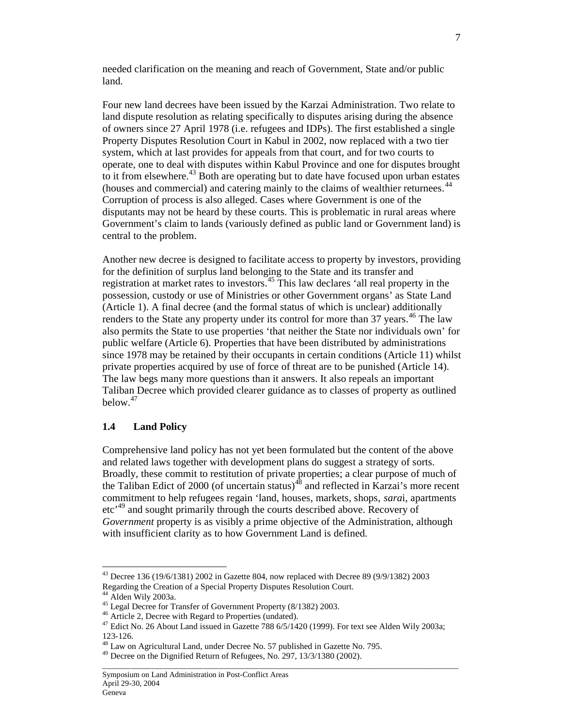needed clarification on the meaning and reach of Government, State and/or public land.

Four new land decrees have been issued by the Karzai Administration. Two relate to land dispute resolution as relating specifically to disputes arising during the absence of owners since 27 April 1978 (i.e. refugees and IDPs). The first established a single Property Disputes Resolution Court in Kabul in 2002, now replaced with a two tier system, which at last provides for appeals from that court, and for two courts to operate, one to deal with disputes within Kabul Province and one for disputes brought to it from elsewhere.<sup>43</sup> Both are operating but to date have focused upon urban estates (houses and commercial) and catering mainly to the claims of wealthier returnees. 44 Corruption of process is also alleged. Cases where Government is one of the disputants may not be heard by these courts. This is problematic in rural areas where Government's claim to lands (variously defined as public land or Government land) is central to the problem.

Another new decree is designed to facilitate access to property by investors, providing for the definition of surplus land belonging to the State and its transfer and registration at market rates to investors.<sup>45</sup> This law declares 'all real property in the possession, custody or use of Ministries or other Government organs' as State Land (Article 1). A final decree (and the formal status of which is unclear) additionally renders to the State any property under its control for more than 37 years.<sup>46</sup> The law also permits the State to use properties 'that neither the State nor individuals own' for public welfare (Article 6). Properties that have been distributed by administrations since 1978 may be retained by their occupants in certain conditions (Article 11) whilst private properties acquired by use of force of threat are to be punished (Article 14). The law begs many more questions than it answers. It also repeals an important Taliban Decree which provided clearer guidance as to classes of property as outlined below. 47

#### **1.4 Land Policy**

Comprehensive land policy has not yet been formulated but the content of the above and related laws together with development plans do suggest a strategy of sorts. Broadly, these commit to restitution of private properties; a clear purpose of much of the Taliban Edict of 2000 (of uncertain status)<sup>48</sup> and reflected in Karzai's more recent commitment to help refugees regain 'land, houses, markets, shops, *sara*i, apartments etc<sup>,49</sup> and sought primarily through the courts described above. Recovery of *Government* property is as visibly a prime objective of the Administration, although with insufficient clarity as to how Government Land is defined.

-

 $43$  Decree 136 (19/6/1381) 2002 in Gazette 804, now replaced with Decree 89 (9/9/1382) 2003 Regarding the Creation of a Special Property Disputes Resolution Court.

 $44$  Alden Wily 2003a.

<sup>45</sup> Legal Decree for Transfer of Government Property (8/1382) 2003.

<sup>46</sup> Article 2, Decree with Regard to Properties (undated).

<sup>&</sup>lt;sup>47</sup> Edict No. 26 About Land issued in Gazette 788 6/5/1420 (1999). For text see Alden Wily 2003a; 123-126.

<sup>&</sup>lt;sup>48</sup> Law on Agricultural Land, under Decree No. 57 published in Gazette No. 795.

<sup>&</sup>lt;sup>49</sup> Decree on the Dignified Return of Refugees, No. 297, 13/3/1380 (2002).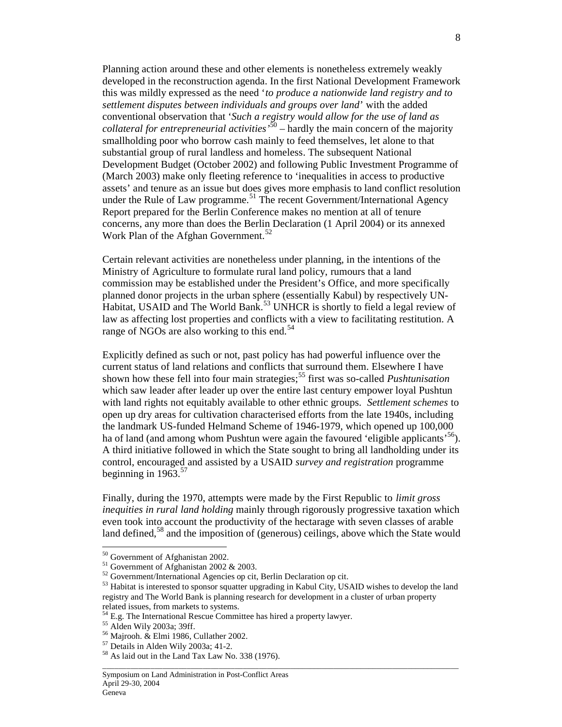Planning action around these and other elements is nonetheless extremely weakly developed in the reconstruction agenda. In the first National Development Framework this was mildly expressed as the need '*to produce a nationwide land registry and to settlement disputes between individuals and groups over land*' with the added conventional observation that '*Such a registry would allow for the use of land as collateral for entrepreneurial activities'*<sup>50</sup> – hardly the main concern of the majority smallholding poor who borrow cash mainly to feed themselves, let alone to that substantial group of rural landless and homeless. The subsequent National Development Budget (October 2002) and following Public Investment Programme of (March 2003) make only fleeting reference to 'inequalities in access to productive assets' and tenure as an issue but does gives more emphasis to land conflict resolution under the Rule of Law programme.<sup>51</sup> The recent Government/International Agency Report prepared for the Berlin Conference makes no mention at all of tenure concerns, any more than does the Berlin Declaration (1 April 2004) or its annexed Work Plan of the Afghan Government.<sup>52</sup>

Certain relevant activities are nonetheless under planning, in the intentions of the Ministry of Agriculture to formulate rural land policy, rumours that a land commission may be established under the President's Office, and more specifically planned donor projects in the urban sphere (essentially Kabul) by respectively UN-Habitat, USAID and The World Bank.<sup>53</sup> UNHCR is shortly to field a legal review of law as affecting lost properties and conflicts with a view to facilitating restitution. A range of NGOs are also working to this end.<sup>54</sup>

Explicitly defined as such or not, past policy has had powerful influence over the current status of land relations and conflicts that surround them. Elsewhere I have shown how these fell into four main strategies; <sup>55</sup> first was so-called *Pushtunisation*  which saw leader after leader up over the entire last century empower loyal Pushtun with land rights not equitably available to other ethnic groups. *Settlement schemes* to open up dry areas for cultivation characterised efforts from the late 1940s, including the landmark US-funded Helmand Scheme of 1946-1979, which opened up 100,000 ha of land (and among whom Pushtun were again the favoured 'eligible applicants'<sup>56</sup>). A third initiative followed in which the State sought to bring all landholding under its control, encouraged and assisted by a USAID *survey and registration* programme beginning in  $1963$ .<sup>57</sup>

Finally, during the 1970, attempts were made by the First Republic to *limit gross inequities in rural land holding* mainly through rigorously progressive taxation which even took into account the productivity of the hectarage with seven classes of arable land defined,<sup>58</sup> and the imposition of (generous) ceilings, above which the State would

\_\_\_\_\_\_\_\_\_\_\_\_\_\_\_\_\_\_\_\_\_\_\_\_\_\_\_\_\_\_\_\_\_\_\_\_\_\_\_\_\_\_\_\_\_\_\_\_\_\_\_\_\_\_\_\_\_\_\_\_\_\_\_\_\_\_\_\_\_\_\_\_\_\_\_\_\_\_\_\_\_\_\_\_\_\_\_\_\_\_

<sup>&</sup>lt;sup>50</sup> Government of Afghanistan 2002.

<sup>51</sup> Government of Afghanistan 2002 & 2003.

<sup>52</sup> Government/International Agencies op cit, Berlin Declaration op cit.

<sup>&</sup>lt;sup>53</sup> Habitat is interested to sponsor squatter upgrading in Kabul City, USAID wishes to develop the land registry and The World Bank is planning research for development in a cluster of urban property related issues, from markets to systems.

 $54$  E.g. The International Rescue Committee has hired a property lawyer.

<sup>55</sup> Alden Wily 2003a; 39ff.

<sup>56</sup> Majrooh. & Elmi 1986, Cullather 2002.

<sup>57</sup> Details in Alden Wily 2003a; 41-2.

<sup>58</sup> As laid out in the Land Tax Law No. 338 (1976).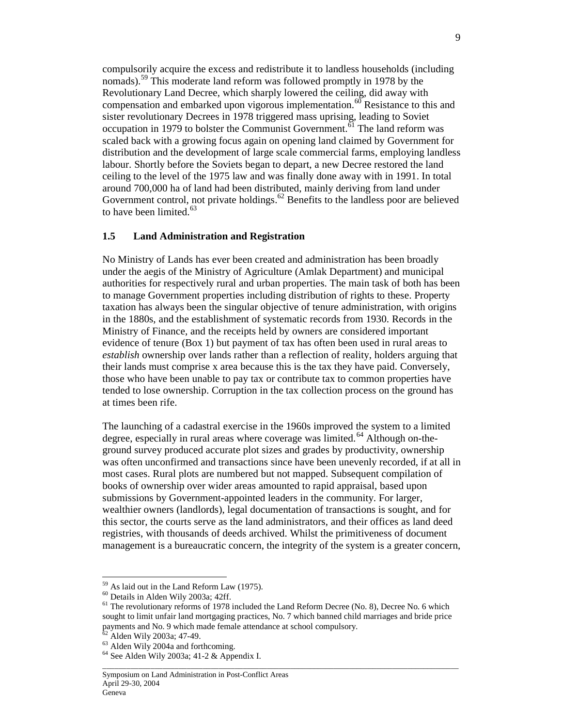compulsorily acquire the excess and redistribute it to landless households (including nomads).<sup>59</sup> This moderate land reform was followed promptly in 1978 by the Revolutionary Land Decree, which sharply lowered the ceiling, did away with compensation and embarked upon vigorous implementation.<sup>60</sup> Resistance to this and sister revolutionary Decrees in 1978 triggered mass uprising, leading to Soviet occupation in 1979 to bolster the Communist Government.<sup> $61$ </sup> The land reform was scaled back with a growing focus again on opening land claimed by Government for distribution and the development of large scale commercial farms, employing landless labour. Shortly before the Soviets began to depart, a new Decree restored the land ceiling to the level of the 1975 law and was finally done away with in 1991. In total around 700,000 ha of land had been distributed, mainly deriving from land under Government control, not private holdings.<sup>62</sup> Benefits to the landless poor are believed to have been limited. $63$ 

## **1.5 Land Administration and Registration**

No Ministry of Lands has ever been created and administration has been broadly under the aegis of the Ministry of Agriculture (Amlak Department) and municipal authorities for respectively rural and urban properties. The main task of both has been to manage Government properties including distribution of rights to these. Property taxation has always been the singular objective of tenure administration, with origins in the 1880s, and the establishment of systematic records from 1930. Records in the Ministry of Finance, and the receipts held by owners are considered important evidence of tenure (Box 1) but payment of tax has often been used in rural areas to *establish* ownership over lands rather than a reflection of reality, holders arguing that their lands must comprise x area because this is the tax they have paid. Conversely, those who have been unable to pay tax or contribute tax to common properties have tended to lose ownership. Corruption in the tax collection process on the ground has at times been rife.

The launching of a cadastral exercise in the 1960s improved the system to a limited degree, especially in rural areas where coverage was limited.<sup>64</sup> Although on-theground survey produced accurate plot sizes and grades by productivity, ownership was often unconfirmed and transactions since have been unevenly recorded, if at all in most cases. Rural plots are numbered but not mapped. Subsequent compilation of books of ownership over wider areas amounted to rapid appraisal, based upon submissions by Government-appointed leaders in the community. For larger, wealthier owners (landlords), legal documentation of transactions is sought, and for this sector, the courts serve as the land administrators, and their offices as land deed registries, with thousands of deeds archived. Whilst the primitiveness of document management is a bureaucratic concern, the integrity of the system is a greater concern,

\_\_\_\_\_\_\_\_\_\_\_\_\_\_\_\_\_\_\_\_\_\_\_\_\_\_\_\_\_\_\_\_\_\_\_\_\_\_\_\_\_\_\_\_\_\_\_\_\_\_\_\_\_\_\_\_\_\_\_\_\_\_\_\_\_\_\_\_\_\_\_\_\_\_\_\_\_\_\_\_\_\_\_\_\_\_\_\_\_\_

<sup>59</sup> As laid out in the Land Reform Law (1975).

<sup>60</sup> Details in Alden Wily 2003a; 42ff.

 $61$  The revolutionary reforms of 1978 included the Land Reform Decree (No. 8), Decree No. 6 which sought to limit unfair land mortgaging practices, No. 7 which banned child marriages and bride price payments and No. 9 which made female attendance at school compulsory.

Alden Wily 2003a; 47-49.

<sup>63</sup> Alden Wily 2004a and forthcoming.

 $^{64}$  See Alden Wily 2003a; 41-2 & Appendix I.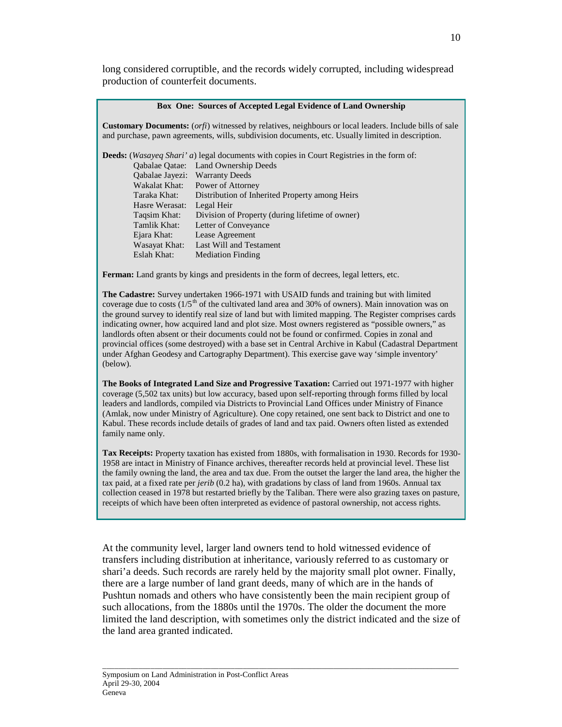long considered corruptible, and the records widely corrupted, including widespread production of counterfeit documents.

#### **Box One: Sources of Accepted Legal Evidence of Land Ownership**

**Customary Documents:** (*orfi*) witnessed by relatives, neighbours or local leaders. Include bills of sale and purchase, pawn agreements, wills, subdivision documents, etc. Usually limited in description.

|                | <b>Deeds:</b> (Wasayeq Shari' a) legal documents with copies in Court Registries in the form of: |
|----------------|--------------------------------------------------------------------------------------------------|
|                | Qabalae Qatae: Land Ownership Deeds                                                              |
|                | Qabalae Jayezi: Warranty Deeds                                                                   |
| Wakalat Khat:  | Power of Attorney                                                                                |
| Taraka Khat:   | Distribution of Inherited Property among Heirs                                                   |
| Hasre Werasat: | Legal Heir                                                                                       |
| Taqsim Khat:   | Division of Property (during lifetime of owner)                                                  |
| Tamlik Khat:   | Letter of Conveyance                                                                             |
| Ejara Khat:    | Lease Agreement                                                                                  |
| Wasayat Khat:  | Last Will and Testament                                                                          |
| Eslah Khat:    | <b>Mediation Finding</b>                                                                         |

**Ferman:** Land grants by kings and presidents in the form of decrees, legal letters, etc.

**The Cadastre:** Survey undertaken 1966-1971 with USAID funds and training but with limited coverage due to costs  $(1/5<sup>th</sup>$  of the cultivated land area and 30% of owners). Main innovation was on the ground survey to identify real size of land but with limited mapping. The Register comprises cards indicating owner, how acquired land and plot size. Most owners registered as "possible owners," as landlords often absent or their documents could not be found or confirmed. Copies in zonal and provincial offices (some destroyed) with a base set in Central Archive in Kabul (Cadastral Department under Afghan Geodesy and Cartography Department). This exercise gave way 'simple inventory' (below).

**The Books of Integrated Land Size and Progressive Taxation:** Carried out 1971-1977 with higher coverage (5,502 tax units) but low accuracy, based upon self-reporting through forms filled by local leaders and landlords, compiled via Districts to Provincial Land Offices under Ministry of Finance (Amlak, now under Ministry of Agriculture). One copy retained, one sent back to District and one to Kabul. These records include details of grades of land and tax paid. Owners often listed as extended family name only.

**Tax Receipts:** Property taxation has existed from 1880s, with formalisation in 1930. Records for 1930- 1958 are intact in Ministry of Finance archives, thereafter records held at provincial level. These list the family owning the land, the area and tax due. From the outset the larger the land area, the higher the tax paid, at a fixed rate per *jerib* (0.2 ha), with gradations by class of land from 1960s. Annual tax collection ceased in 1978 but restarted briefly by the Taliban. There were also grazing taxes on pasture, receipts of which have been often interpreted as evidence of pastoral ownership, not access rights.

At the community level, larger land owners tend to hold witnessed evidence of transfers including distribution at inheritance, variously referred to as customary or shari'a deeds. Such records are rarely held by the majority small plot owner. Finally, there are a large number of land grant deeds, many of which are in the hands of Pushtun nomads and others who have consistently been the main recipient group of such allocations, from the 1880s until the 1970s. The older the document the more limited the land description, with sometimes only the district indicated and the size of the land area granted indicated.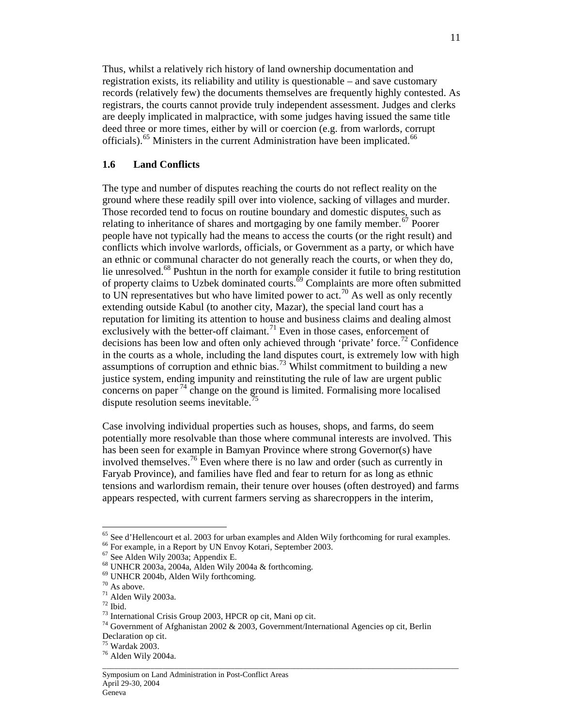Thus, whilst a relatively rich history of land ownership documentation and registration exists, its reliability and utility is questionable – and save customary records (relatively few) the documents themselves are frequently highly contested. As registrars, the courts cannot provide truly independent assessment. Judges and clerks are deeply implicated in malpractice, with some judges having issued the same title deed three or more times, either by will or coercion (e.g. from warlords, corrupt officials).<sup>65</sup> Ministers in the current Administration have been implicated.<sup>66</sup>

## **1.6 Land Conflicts**

The type and number of disputes reaching the courts do not reflect reality on the ground where these readily spill over into violence, sacking of villages and murder. Those recorded tend to focus on routine boundary and domestic disputes, such as relating to inheritance of shares and mortgaging by one family member.<sup>67</sup> Poorer people have not typically had the means to access the courts (or the right result) and conflicts which involve warlords, officials, or Government as a party, or which have an ethnic or communal character do not generally reach the courts, or when they do, lie unresolved.<sup>68</sup> Pushtun in the north for example consider it futile to bring restitution of property claims to Uzbek dominated courts.<sup>69</sup> Complaints are more often submitted to UN representatives but who have limited power to act.<sup>70</sup> As well as only recently extending outside Kabul (to another city, Mazar), the special land court has a reputation for limiting its attention to house and business claims and dealing almost exclusively with the better-off claimant.<sup>71</sup> Even in those cases, enforcement of decisions has been low and often only achieved through 'private' force.<sup>72</sup> Confidence in the courts as a whole, including the land disputes court, is extremely low with high assumptions of corruption and ethnic bias.<sup>73</sup> Whilst commitment to building a new justice system, ending impunity and reinstituting the rule of law are urgent public concerns on paper  $^{74}$  change on the ground is limited. Formalising more localised dispute resolution seems inevitable.<sup>75</sup>

Case involving individual properties such as houses, shops, and farms, do seem potentially more resolvable than those where communal interests are involved. This has been seen for example in Bamyan Province where strong Governor(s) have involved themselves. <sup>76</sup> Even where there is no law and order (such as currently in Faryab Province), and families have fled and fear to return for as long as ethnic tensions and warlordism remain, their tenure over houses (often destroyed) and farms appears respected, with current farmers serving as sharecroppers in the interim,

-

<sup>&</sup>lt;sup>65</sup> See d'Hellencourt et al. 2003 for urban examples and Alden Wily forthcoming for rural examples.

<sup>66</sup> For example, in a Report by UN Envoy Kotari, September 2003.

<sup>67</sup> See Alden Wily 2003a; Appendix E.

<sup>68</sup> UNHCR 2003a, 2004a, Alden Wily 2004a & forthcoming.

<sup>69</sup> UNHCR 2004b, Alden Wily forthcoming.

 $70$  As above.

<sup>71</sup> Alden Wily 2003a.

 $72$  Ibid.

<sup>73</sup> International Crisis Group 2003, HPCR op cit, Mani op cit.

<sup>74</sup> Government of Afghanistan 2002 & 2003, Government/International Agencies op cit, Berlin Declaration op cit.

 $75$  Wardak 2003.

<sup>76</sup> Alden Wily 2004a.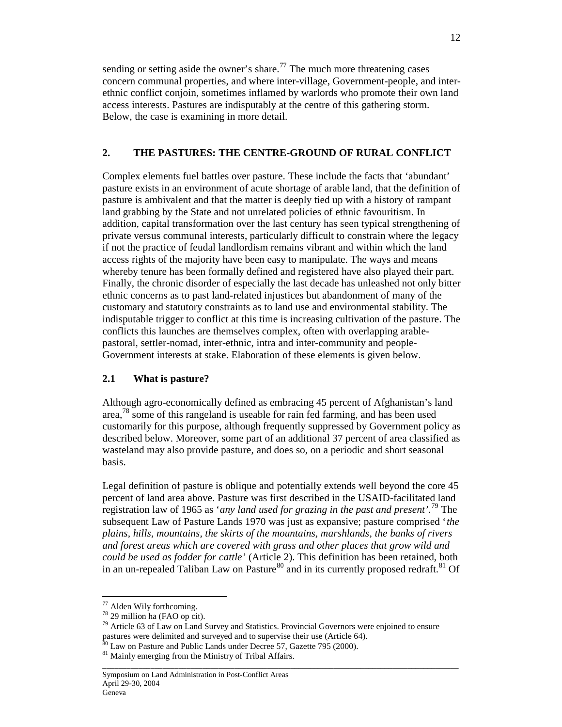sending or setting aside the owner's share.<sup>77</sup> The much more threatening cases concern communal properties, and where inter-village, Government-people, and interethnic conflict conjoin, sometimes inflamed by warlords who promote their own land access interests. Pastures are indisputably at the centre of this gathering storm. Below, the case is examining in more detail.

## **2. THE PASTURES: THE CENTRE-GROUND OF RURAL CONFLICT**

Complex elements fuel battles over pasture. These include the facts that 'abundant' pasture exists in an environment of acute shortage of arable land, that the definition of pasture is ambivalent and that the matter is deeply tied up with a history of rampant land grabbing by the State and not unrelated policies of ethnic favouritism. In addition, capital transformation over the last century has seen typical strengthening of private versus communal interests, particularly difficult to constrain where the legacy if not the practice of feudal landlordism remains vibrant and within which the land access rights of the majority have been easy to manipulate. The ways and means whereby tenure has been formally defined and registered have also played their part. Finally, the chronic disorder of especially the last decade has unleashed not only bitter ethnic concerns as to past land-related injustices but abandonment of many of the customary and statutory constraints as to land use and environmental stability. The indisputable trigger to conflict at this time is increasing cultivation of the pasture. The conflicts this launches are themselves complex, often with overlapping arablepastoral, settler-nomad, inter-ethnic, intra and inter-community and people-Government interests at stake. Elaboration of these elements is given below.

## **2.1 What is pasture?**

Although agro-economically defined as embracing 45 percent of Afghanistan's land area,<sup>78</sup> some of this rangeland is useable for rain fed farming, and has been used customarily for this purpose, although frequently suppressed by Government policy as described below. Moreover, some part of an additional 37 percent of area classified as wasteland may also provide pasture, and does so, on a periodic and short seasonal basis.

Legal definition of pasture is oblique and potentially extends well beyond the core 45 percent of land area above. Pasture was first described in the USAID-facilitated land registration law of 1965 as '*any land used for grazing in the past and present'.*<sup>79</sup> The subsequent Law of Pasture Lands 1970 was just as expansive; pasture comprised '*the plains, hills, mountains, the skirts of the mountains, marshlands, the banks of rivers and forest areas which are covered with grass and other places that grow wild and could be used as fodder for cattle'* (Article 2). This definition has been retained, both in an un-repealed Taliban Law on Pasture<sup>80</sup> and in its currently proposed redraft.<sup>81</sup> Of

-

 $77$  Alden Wily forthcoming.

<sup>78</sup> 29 million ha (FAO op cit).

 $79$  Article 63 of Law on Land Survey and Statistics. Provincial Governors were enjoined to ensure pastures were delimited and surveyed and to supervise their use (Article 64).

 $80$  Law on Pasture and Public Lands under Decree 57, Gazette 795 (2000).

<sup>&</sup>lt;sup>81</sup> Mainly emerging from the Ministry of Tribal Affairs.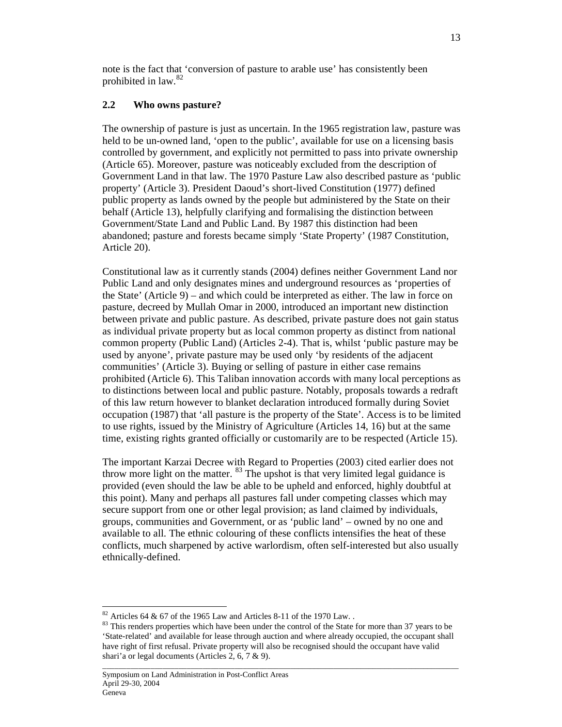note is the fact that 'conversion of pasture to arable use' has consistently been prohibited in law. 82

## **2.2 Who owns pasture?**

The ownership of pasture is just as uncertain. In the 1965 registration law, pasture was held to be un-owned land, 'open to the public', available for use on a licensing basis controlled by government, and explicitly not permitted to pass into private ownership (Article 65). Moreover, pasture was noticeably excluded from the description of Government Land in that law. The 1970 Pasture Law also described pasture as 'public property' (Article 3). President Daoud's short-lived Constitution (1977) defined public property as lands owned by the people but administered by the State on their behalf (Article 13), helpfully clarifying and formalising the distinction between Government/State Land and Public Land. By 1987 this distinction had been abandoned; pasture and forests became simply 'State Property' (1987 Constitution, Article 20).

Constitutional law as it currently stands (2004) defines neither Government Land nor Public Land and only designates mines and underground resources as 'properties of the State' (Article 9) – and which could be interpreted as either. The law in force on pasture, decreed by Mullah Omar in 2000, introduced an important new distinction between private and public pasture. As described, private pasture does not gain status as individual private property but as local common property as distinct from national common property (Public Land) (Articles 2-4). That is, whilst 'public pasture may be used by anyone', private pasture may be used only 'by residents of the adjacent communities' (Article 3). Buying or selling of pasture in either case remains prohibited (Article 6). This Taliban innovation accords with many local perceptions as to distinctions between local and public pasture. Notably, proposals towards a redraft of this law return however to blanket declaration introduced formally during Soviet occupation (1987) that 'all pasture is the property of the State'. Access is to be limited to use rights, issued by the Ministry of Agriculture (Articles 14, 16) but at the same time, existing rights granted officially or customarily are to be respected (Article 15).

The important Karzai Decree with Regard to Properties (2003) cited earlier does not throw more light on the matter. <sup>83</sup> The upshot is that very limited legal guidance is provided (even should the law be able to be upheld and enforced, highly doubtful at this point). Many and perhaps all pastures fall under competing classes which may secure support from one or other legal provision; as land claimed by individuals, groups, communities and Government, or as 'public land' – owned by no one and available to all. The ethnic colouring of these conflicts intensifies the heat of these conflicts, much sharpened by active warlordism, often self-interested but also usually ethnically-defined.

<sup>-</sup> $82$  Articles 64 & 67 of the 1965 Law and Articles 8-11 of the 1970 Law..

<sup>&</sup>lt;sup>83</sup> This renders properties which have been under the control of the State for more than 37 years to be 'State-related' and available for lease through auction and where already occupied, the occupant shall have right of first refusal. Private property will also be recognised should the occupant have valid shari'a or legal documents (Articles 2, 6, 7 & 9).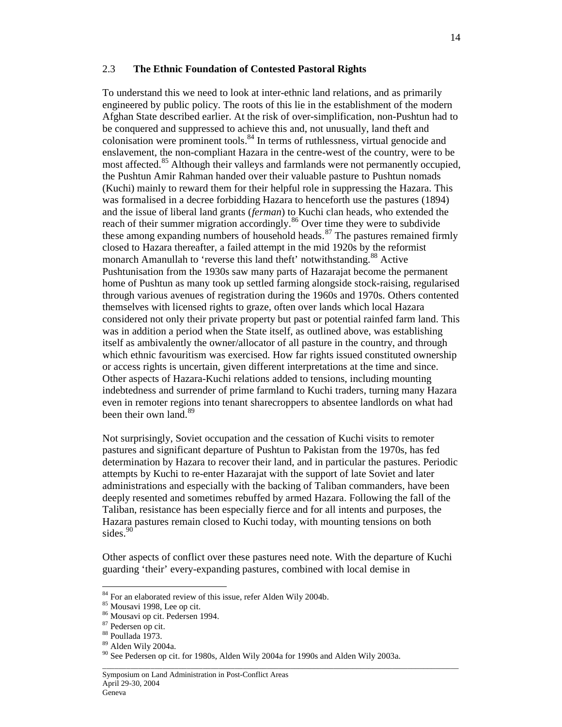#### 2.3 **The Ethnic Foundation of Contested Pastoral Rights**

To understand this we need to look at inter-ethnic land relations, and as primarily engineered by public policy. The roots of this lie in the establishment of the modern Afghan State described earlier. At the risk of over-simplification, non-Pushtun had to be conquered and suppressed to achieve this and, not unusually, land theft and colonisation were prominent tools. <sup>84</sup> In terms of ruthlessness, virtual genocide and enslavement, the non-compliant Hazara in the centre-west of the country, were to be most affected.<sup>85</sup> Although their valleys and farmlands were not permanently occupied, the Pushtun Amir Rahman handed over their valuable pasture to Pushtun nomads (Kuchi) mainly to reward them for their helpful role in suppressing the Hazara. This was formalised in a decree forbidding Hazara to henceforth use the pastures (1894) and the issue of liberal land grants (*ferman*) to Kuchi clan heads, who extended the reach of their summer migration accordingly.<sup>86</sup> Over time they were to subdivide these among expanding numbers of household heads.<sup>87</sup> The pastures remained firmly closed to Hazara thereafter, a failed attempt in the mid 1920s by the reformist monarch Amanullah to 'reverse this land theft' notwithstanding.<sup>88</sup> Active Pushtunisation from the 1930s saw many parts of Hazarajat become the permanent home of Pushtun as many took up settled farming alongside stock-raising, regularised through various avenues of registration during the 1960s and 1970s. Others contented themselves with licensed rights to graze, often over lands which local Hazara considered not only their private property but past or potential rainfed farm land. This was in addition a period when the State itself, as outlined above, was establishing itself as ambivalently the owner/allocator of all pasture in the country, and through which ethnic favouritism was exercised. How far rights issued constituted ownership or access rights is uncertain, given different interpretations at the time and since. Other aspects of Hazara-Kuchi relations added to tensions, including mounting indebtedness and surrender of prime farmland to Kuchi traders, turning many Hazara even in remoter regions into tenant sharecroppers to absentee landlords on what had been their own land.<sup>89</sup>

Not surprisingly, Soviet occupation and the cessation of Kuchi visits to remoter pastures and significant departure of Pushtun to Pakistan from the 1970s, has fed determination by Hazara to recover their land, and in particular the pastures. Periodic attempts by Kuchi to re-enter Hazarajat with the support of late Soviet and later administrations and especially with the backing of Taliban commanders, have been deeply resented and sometimes rebuffed by armed Hazara. Following the fall of the Taliban, resistance has been especially fierce and for all intents and purposes, the Hazara pastures remain closed to Kuchi today, with mounting tensions on both sides.<sup>90</sup>

Other aspects of conflict over these pastures need note. With the departure of Kuchi guarding 'their' every-expanding pastures, combined with local demise in

 $84$  For an elaborated review of this issue, refer Alden Wily 2004b.

<sup>&</sup>lt;sup>85</sup> Mousavi 1998, Lee op cit.

<sup>86</sup> Mousavi op cit. Pedersen 1994.

<sup>87</sup> Pedersen op cit.

<sup>88</sup> Poullada 1973.

<sup>89</sup> Alden Wily 2004a.

\_\_\_\_\_\_\_\_\_\_\_\_\_\_\_\_\_\_\_\_\_\_\_\_\_\_\_\_\_\_\_\_\_\_\_\_\_\_\_\_\_\_\_\_\_\_\_\_\_\_\_\_\_\_\_\_\_\_\_\_\_\_\_\_\_\_\_\_\_\_\_\_\_\_\_\_\_\_\_\_\_\_\_\_\_\_\_\_\_\_ <sup>90</sup> See Pedersen op cit. for 1980s, Alden Wily 2004a for 1990s and Alden Wily 2003a.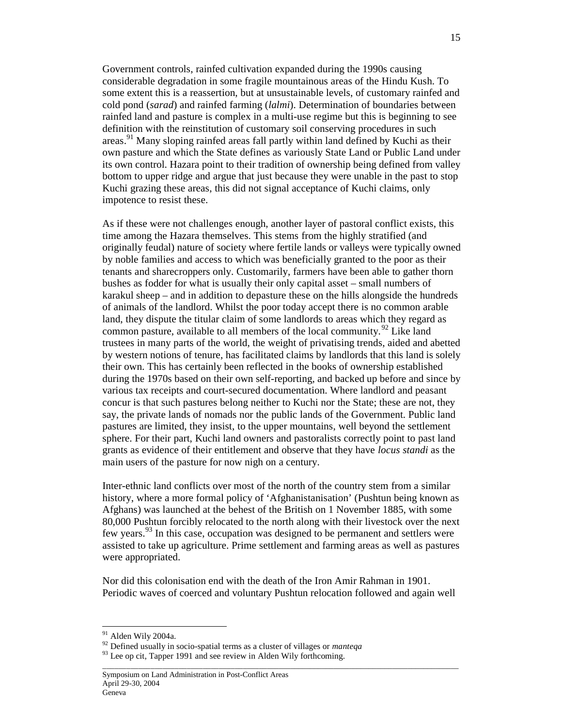Government controls, rainfed cultivation expanded during the 1990s causing considerable degradation in some fragile mountainous areas of the Hindu Kush. To some extent this is a reassertion, but at unsustainable levels, of customary rainfed and cold pond (*sarad*) and rainfed farming (*lalmi*). Determination of boundaries between rainfed land and pasture is complex in a multi-use regime but this is beginning to see definition with the reinstitution of customary soil conserving procedures in such areas.<sup>91</sup> Many sloping rainfed areas fall partly within land defined by Kuchi as their own pasture and which the State defines as variously State Land or Public Land under its own control. Hazara point to their tradition of ownership being defined from valley bottom to upper ridge and argue that just because they were unable in the past to stop Kuchi grazing these areas, this did not signal acceptance of Kuchi claims, only impotence to resist these.

As if these were not challenges enough, another layer of pastoral conflict exists, this time among the Hazara themselves. This stems from the highly stratified (and originally feudal) nature of society where fertile lands or valleys were typically owned by noble families and access to which was beneficially granted to the poor as their tenants and sharecroppers only. Customarily, farmers have been able to gather thorn bushes as fodder for what is usually their only capital asset – small numbers of karakul sheep – and in addition to depasture these on the hills alongside the hundreds of animals of the landlord. Whilst the poor today accept there is no common arable land, they dispute the titular claim of some landlords to areas which they regard as common pasture, available to all members of the local community.<sup>92</sup> Like land trustees in many parts of the world, the weight of privatising trends, aided and abetted by western notions of tenure, has facilitated claims by landlords that this land is solely their own. This has certainly been reflected in the books of ownership established during the 1970s based on their own self-reporting, and backed up before and since by various tax receipts and court-secured documentation. Where landlord and peasant concur is that such pastures belong neither to Kuchi nor the State; these are not, they say, the private lands of nomads nor the public lands of the Government. Public land pastures are limited, they insist, to the upper mountains, well beyond the settlement sphere. For their part, Kuchi land owners and pastoralists correctly point to past land grants as evidence of their entitlement and observe that they have *locus standi* as the main users of the pasture for now nigh on a century.

Inter-ethnic land conflicts over most of the north of the country stem from a similar history, where a more formal policy of 'Afghanistanisation' (Pushtun being known as Afghans) was launched at the behest of the British on 1 November 1885, with some 80,000 Pushtun forcibly relocated to the north along with their livestock over the next few years.<sup>93</sup> In this case, occupation was designed to be permanent and settlers were assisted to take up agriculture. Prime settlement and farming areas as well as pastures were appropriated.

Nor did this colonisation end with the death of the Iron Amir Rahman in 1901. Periodic waves of coerced and voluntary Pushtun relocation followed and again well

\_\_\_\_\_\_\_\_\_\_\_\_\_\_\_\_\_\_\_\_\_\_\_\_\_\_\_\_\_\_\_\_\_\_\_\_\_\_\_\_\_\_\_\_\_\_\_\_\_\_\_\_\_\_\_\_\_\_\_\_\_\_\_\_\_\_\_\_\_\_\_\_\_\_\_\_\_\_\_\_\_\_\_\_\_\_\_\_\_\_

 $91$  Alden Wily 2004a.

<sup>92</sup> Defined usually in socio-spatial terms as a cluster of villages or *manteqa*

<sup>&</sup>lt;sup>93</sup> Lee op cit, Tapper 1991 and see review in Alden Wily forthcoming.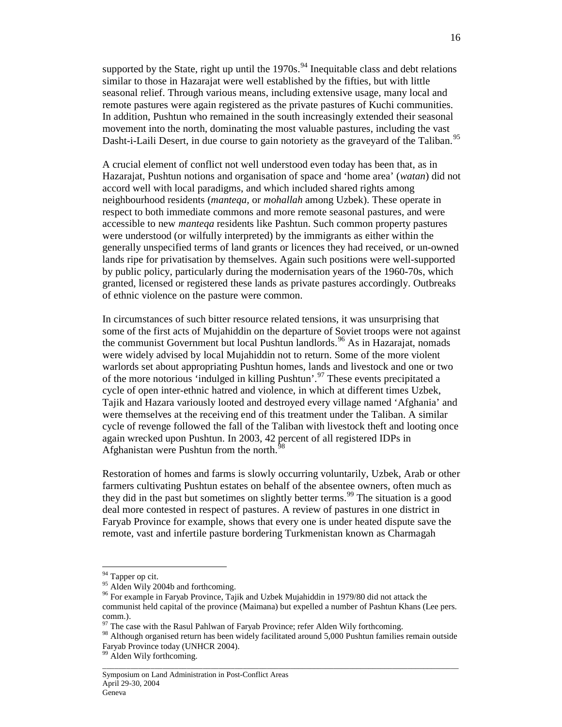supported by the State, right up until the  $1970s$ .<sup>94</sup> Inequitable class and debt relations similar to those in Hazarajat were well established by the fifties, but with little seasonal relief. Through various means, including extensive usage, many local and remote pastures were again registered as the private pastures of Kuchi communities. In addition, Pushtun who remained in the south increasingly extended their seasonal movement into the north, dominating the most valuable pastures, including the vast Dasht-i-Laili Desert, in due course to gain notoriety as the graveyard of the Taliban.<sup>95</sup>

A crucial element of conflict not well understood even today has been that, as in Hazarajat, Pushtun notions and organisation of space and 'home area' (*watan*) did not accord well with local paradigms, and which included shared rights among neighbourhood residents (*manteqa,* or *mohallah* among Uzbek). These operate in respect to both immediate commons and more remote seasonal pastures, and were accessible to new *manteqa* residents like Pashtun. Such common property pastures were understood (or wilfully interpreted) by the immigrants as either within the generally unspecified terms of land grants or licences they had received, or un-owned lands ripe for privatisation by themselves. Again such positions were well-supported by public policy, particularly during the modernisation years of the 1960-70s, which granted, licensed or registered these lands as private pastures accordingly. Outbreaks of ethnic violence on the pasture were common.

In circumstances of such bitter resource related tensions, it was unsurprising that some of the first acts of Mujahiddin on the departure of Soviet troops were not against the communist Government but local Pushtun landlords. <sup>96</sup> As in Hazarajat, nomads were widely advised by local Mujahiddin not to return. Some of the more violent warlords set about appropriating Pushtun homes, lands and livestock and one or two of the more notorious 'indulged in killing Pushtun'.<sup>97</sup> These events precipitated a cycle of open inter-ethnic hatred and violence, in which at different times Uzbek, Tajik and Hazara variously looted and destroyed every village named 'Afghania' and were themselves at the receiving end of this treatment under the Taliban. A similar cycle of revenge followed the fall of the Taliban with livestock theft and looting once again wrecked upon Pushtun. In 2003, 42 percent of all registered IDPs in Afghanistan were Pushtun from the north. $^{98}$ 

Restoration of homes and farms is slowly occurring voluntarily, Uzbek, Arab or other farmers cultivating Pushtun estates on behalf of the absentee owners, often much as they did in the past but sometimes on slightly better terms. <sup>99</sup> The situation is a good deal more contested in respect of pastures. A review of pastures in one district in Faryab Province for example, shows that every one is under heated dispute save the remote, vast and infertile pasture bordering Turkmenistan known as Charmagah

-

<sup>&</sup>lt;sup>94</sup> Tapper op cit.

 $95$  Alden Wily 2004b and forthcoming.

<sup>&</sup>lt;sup>96</sup> For example in Faryab Province, Tajik and Uzbek Mujahiddin in 1979/80 did not attack the communist held capital of the province (Maimana) but expelled a number of Pashtun Khans (Lee pers. comm.).

The case with the Rasul Pahlwan of Faryab Province; refer Alden Wily forthcoming.

<sup>&</sup>lt;sup>98</sup> Although organised return has been widely facilitated around 5,000 Pushtun families remain outside Faryab Province today (UNHCR 2004).

<sup>&</sup>lt;sup>99</sup> Alden Wily forthcoming.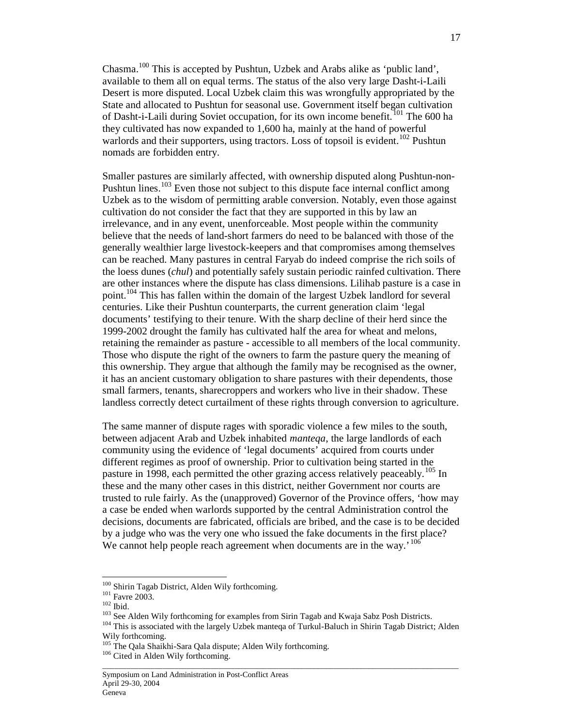Chasma.<sup>100</sup> This is accepted by Pushtun, Uzbek and Arabs alike as 'public land', available to them all on equal terms. The status of the also very large Dasht-i-Laili Desert is more disputed. Local Uzbek claim this was wrongfully appropriated by the State and allocated to Pushtun for seasonal use. Government itself began cultivation of Dasht-i-Laili during Soviet occupation, for its own income benefit.<sup>101</sup> The 600 ha they cultivated has now expanded to 1,600 ha, mainly at the hand of powerful warlords and their supporters, using tractors. Loss of topsoil is evident.<sup>102</sup> Pushtun nomads are forbidden entry.

Smaller pastures are similarly affected, with ownership disputed along Pushtun-non-Pushtun lines.<sup>103</sup> Even those not subject to this dispute face internal conflict among Uzbek as to the wisdom of permitting arable conversion. Notably, even those against cultivation do not consider the fact that they are supported in this by law an irrelevance, and in any event, unenforceable. Most people within the community believe that the needs of land-short farmers do need to be balanced with those of the generally wealthier large livestock-keepers and that compromises among themselves can be reached. Many pastures in central Faryab do indeed comprise the rich soils of the loess dunes (*chul*) and potentially safely sustain periodic rainfed cultivation. There are other instances where the dispute has class dimensions. Lilihab pasture is a case in point.<sup>104</sup> This has fallen within the domain of the largest Uzbek landlord for several centuries. Like their Pushtun counterparts, the current generation claim 'legal documents' testifying to their tenure. With the sharp decline of their herd since the 1999-2002 drought the family has cultivated half the area for wheat and melons, retaining the remainder as pasture - accessible to all members of the local community. Those who dispute the right of the owners to farm the pasture query the meaning of this ownership. They argue that although the family may be recognised as the owner, it has an ancient customary obligation to share pastures with their dependents, those small farmers, tenants, sharecroppers and workers who live in their shadow. These landless correctly detect curtailment of these rights through conversion to agriculture.

The same manner of dispute rages with sporadic violence a few miles to the south, between adjacent Arab and Uzbek inhabited *manteqa*, the large landlords of each community using the evidence of 'legal documents' acquired from courts under different regimes as proof of ownership. Prior to cultivation being started in the pasture in 1998, each permitted the other grazing access relatively peaceably.<sup>105</sup> In these and the many other cases in this district, neither Government nor courts are trusted to rule fairly. As the (unapproved) Governor of the Province offers, 'how may a case be ended when warlords supported by the central Administration control the decisions, documents are fabricated, officials are bribed, and the case is to be decided by a judge who was the very one who issued the fake documents in the first place? We cannot help people reach agreement when documents are in the way.<sup>' 106</sup>

-

<sup>&</sup>lt;sup>100</sup> Shirin Tagab District, Alden Wily forthcoming.

<sup>101</sup> Favre 2003.

 $102$  Ibid.

<sup>&</sup>lt;sup>103</sup> See Alden Wily forthcoming for examples from Sirin Tagab and Kwaja Sabz Posh Districts.

<sup>&</sup>lt;sup>104</sup> This is associated with the largely Uzbek manteqa of Turkul-Baluch in Shirin Tagab District; Alden Wily forthcoming.

<sup>&</sup>lt;sup>105</sup> The Qala Shaikhi-Sara Qala dispute; Alden Wily forthcoming.

<sup>&</sup>lt;sup>106</sup> Cited in Alden Wily forthcoming.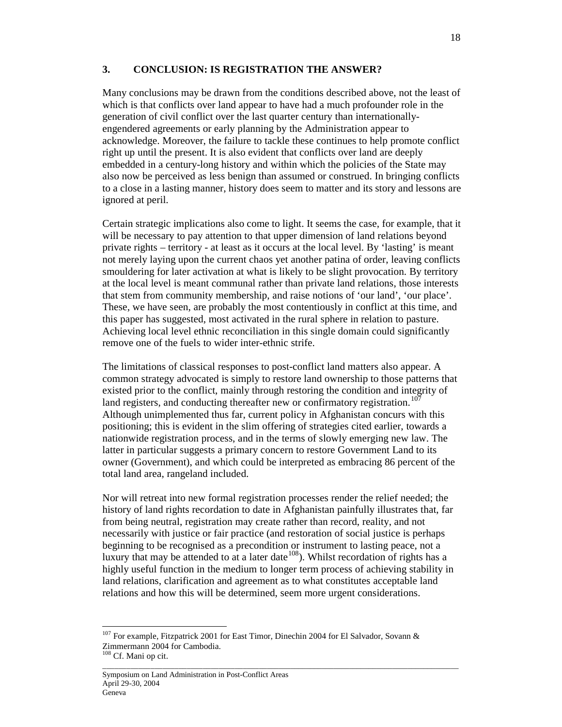## **3. CONCLUSION: IS REGISTRATION THE ANSWER?**

Many conclusions may be drawn from the conditions described above, not the least of which is that conflicts over land appear to have had a much profounder role in the generation of civil conflict over the last quarter century than internationallyengendered agreements or early planning by the Administration appear to acknowledge. Moreover, the failure to tackle these continues to help promote conflict right up until the present. It is also evident that conflicts over land are deeply embedded in a century-long history and within which the policies of the State may also now be perceived as less benign than assumed or construed. In bringing conflicts to a close in a lasting manner, history does seem to matter and its story and lessons are ignored at peril.

Certain strategic implications also come to light. It seems the case, for example, that it will be necessary to pay attention to that upper dimension of land relations beyond private rights – territory - at least as it occurs at the local level. By 'lasting' is meant not merely laying upon the current chaos yet another patina of order, leaving conflicts smouldering for later activation at what is likely to be slight provocation. By territory at the local level is meant communal rather than private land relations, those interests that stem from community membership, and raise notions of 'our land', 'our place'. These, we have seen, are probably the most contentiously in conflict at this time, and this paper has suggested, most activated in the rural sphere in relation to pasture. Achieving local level ethnic reconciliation in this single domain could significantly remove one of the fuels to wider inter-ethnic strife.

The limitations of classical responses to post-conflict land matters also appear. A common strategy advocated is simply to restore land ownership to those patterns that existed prior to the conflict, mainly through restoring the condition and integrity of land registers, and conducting thereafter new or confirmatory registration.<sup>107</sup> Although unimplemented thus far, current policy in Afghanistan concurs with this positioning; this is evident in the slim offering of strategies cited earlier, towards a nationwide registration process, and in the terms of slowly emerging new law. The latter in particular suggests a primary concern to restore Government Land to its owner (Government), and which could be interpreted as embracing 86 percent of the total land area, rangeland included.

Nor will retreat into new formal registration processes render the relief needed; the history of land rights recordation to date in Afghanistan painfully illustrates that, far from being neutral, registration may create rather than record, reality, and not necessarily with justice or fair practice (and restoration of social justice is perhaps beginning to be recognised as a precondition or instrument to lasting peace, not a luxury that may be attended to at a later date<sup>108</sup>). Whilst recordation of rights has a highly useful function in the medium to longer term process of achieving stability in land relations, clarification and agreement as to what constitutes acceptable land relations and how this will be determined, seem more urgent considerations.

\_\_\_\_\_\_\_\_\_\_\_\_\_\_\_\_\_\_\_\_\_\_\_\_\_\_\_\_\_\_\_\_\_\_\_\_\_\_\_\_\_\_\_\_\_\_\_\_\_\_\_\_\_\_\_\_\_\_\_\_\_\_\_\_\_\_\_\_\_\_\_\_\_\_\_\_\_\_\_\_\_\_\_\_\_\_\_\_\_\_

 $107$  For example, Fitzpatrick 2001 for East Timor, Dinechin 2004 for El Salvador, Sovann & Zimmermann 2004 for Cambodia.

<sup>108</sup> Cf. Mani op cit.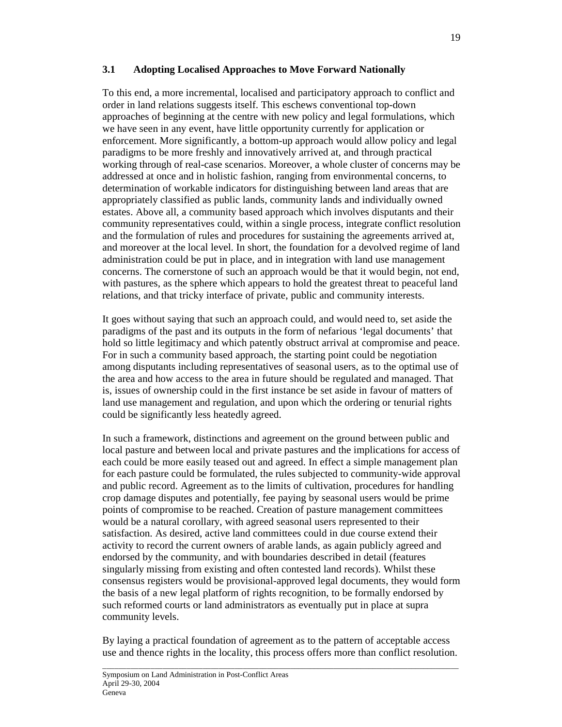## **3.1 Adopting Localised Approaches to Move Forward Nationally**

To this end, a more incremental, localised and participatory approach to conflict and order in land relations suggests itself. This eschews conventional top-down approaches of beginning at the centre with new policy and legal formulations, which we have seen in any event, have little opportunity currently for application or enforcement. More significantly, a bottom-up approach would allow policy and legal paradigms to be more freshly and innovatively arrived at, and through practical working through of real-case scenarios. Moreover, a whole cluster of concerns may be addressed at once and in holistic fashion, ranging from environmental concerns, to determination of workable indicators for distinguishing between land areas that are appropriately classified as public lands, community lands and individually owned estates. Above all, a community based approach which involves disputants and their community representatives could, within a single process, integrate conflict resolution and the formulation of rules and procedures for sustaining the agreements arrived at, and moreover at the local level. In short, the foundation for a devolved regime of land administration could be put in place, and in integration with land use management concerns. The cornerstone of such an approach would be that it would begin, not end, with pastures, as the sphere which appears to hold the greatest threat to peaceful land relations, and that tricky interface of private, public and community interests.

It goes without saying that such an approach could, and would need to, set aside the paradigms of the past and its outputs in the form of nefarious 'legal documents' that hold so little legitimacy and which patently obstruct arrival at compromise and peace. For in such a community based approach, the starting point could be negotiation among disputants including representatives of seasonal users, as to the optimal use of the area and how access to the area in future should be regulated and managed. That is, issues of ownership could in the first instance be set aside in favour of matters of land use management and regulation, and upon which the ordering or tenurial rights could be significantly less heatedly agreed.

In such a framework, distinctions and agreement on the ground between public and local pasture and between local and private pastures and the implications for access of each could be more easily teased out and agreed. In effect a simple management plan for each pasture could be formulated, the rules subjected to community-wide approval and public record. Agreement as to the limits of cultivation, procedures for handling crop damage disputes and potentially, fee paying by seasonal users would be prime points of compromise to be reached. Creation of pasture management committees would be a natural corollary, with agreed seasonal users represented to their satisfaction. As desired, active land committees could in due course extend their activity to record the current owners of arable lands, as again publicly agreed and endorsed by the community, and with boundaries described in detail (features singularly missing from existing and often contested land records). Whilst these consensus registers would be provisional-approved legal documents, they would form the basis of a new legal platform of rights recognition, to be formally endorsed by such reformed courts or land administrators as eventually put in place at supra community levels.

By laying a practical foundation of agreement as to the pattern of acceptable access use and thence rights in the locality, this process offers more than conflict resolution.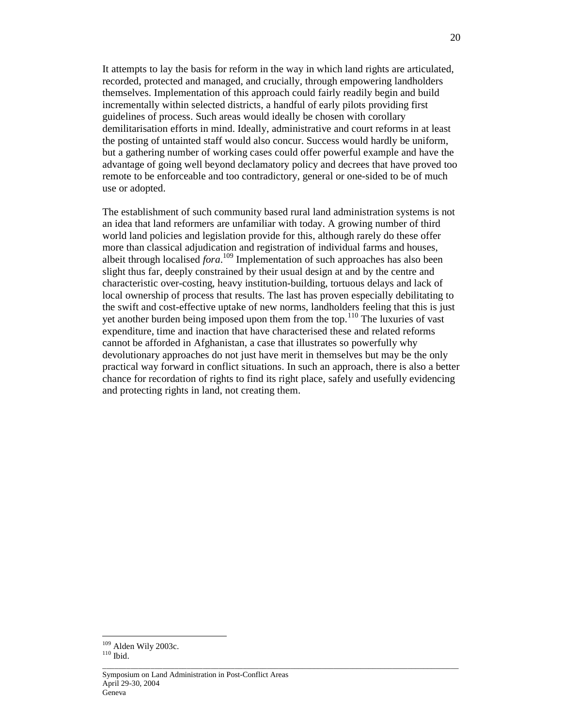It attempts to lay the basis for reform in the way in which land rights are articulated, recorded, protected and managed, and crucially, through empowering landholders themselves. Implementation of this approach could fairly readily begin and build incrementally within selected districts, a handful of early pilots providing first guidelines of process. Such areas would ideally be chosen with corollary demilitarisation efforts in mind. Ideally, administrative and court reforms in at least the posting of untainted staff would also concur. Success would hardly be uniform, but a gathering number of working cases could offer powerful example and have the advantage of going well beyond declamatory policy and decrees that have proved too remote to be enforceable and too contradictory, general or one-sided to be of much use or adopted.

The establishment of such community based rural land administration systems is not an idea that land reformers are unfamiliar with today. A growing number of third world land policies and legislation provide for this, although rarely do these offer more than classical adjudication and registration of individual farms and houses, albeit through localised *fora*. <sup>109</sup> Implementation of such approaches has also been slight thus far, deeply constrained by their usual design at and by the centre and characteristic over-costing, heavy institution-building, tortuous delays and lack of local ownership of process that results. The last has proven especially debilitating to the swift and cost-effective uptake of new norms, landholders feeling that this is just yet another burden being imposed upon them from the top.<sup>110</sup> The luxuries of vast expenditure, time and inaction that have characterised these and related reforms cannot be afforded in Afghanistan, a case that illustrates so powerfully why devolutionary approaches do not just have merit in themselves but may be the only practical way forward in conflict situations. In such an approach, there is also a better chance for recordation of rights to find its right place, safely and usefully evidencing and protecting rights in land, not creating them.

\_\_\_\_\_\_\_\_\_\_\_\_\_\_\_\_\_\_\_\_\_\_\_\_\_\_\_\_\_\_\_\_\_\_\_\_\_\_\_\_\_\_\_\_\_\_\_\_\_\_\_\_\_\_\_\_\_\_\_\_\_\_\_\_\_\_\_\_\_\_\_\_\_\_\_\_\_\_\_\_\_\_\_\_\_\_\_\_\_\_

 $109$  Alden Wily 2003c.

 $^{110}$  Ibid.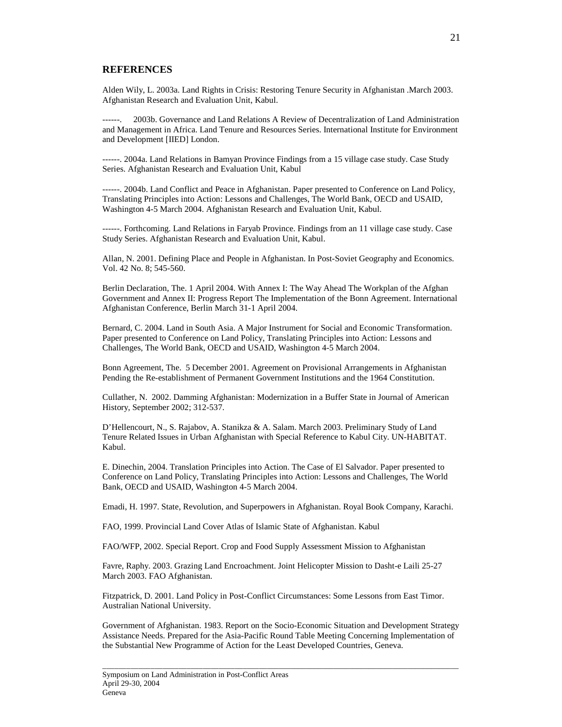#### **REFERENCES**

Alden Wily, L. 2003a. Land Rights in Crisis: Restoring Tenure Security in Afghanistan .March 2003. Afghanistan Research and Evaluation Unit, Kabul.

2003b. Governance and Land Relations A Review of Decentralization of Land Administration and Management in Africa. Land Tenure and Resources Series. International Institute for Environment and Development [IIED] London*.*

------. 2004a. Land Relations in Bamyan Province Findings from a 15 village case study. Case Study Series. Afghanistan Research and Evaluation Unit, Kabul

------. 2004b. Land Conflict and Peace in Afghanistan. Paper presented to Conference on Land Policy, Translating Principles into Action: Lessons and Challenges, The World Bank, OECD and USAID, Washington 4-5 March 2004. Afghanistan Research and Evaluation Unit, Kabul.

------. Forthcoming. Land Relations in Faryab Province. Findings from an 11 village case study. Case Study Series. Afghanistan Research and Evaluation Unit, Kabul.

Allan, N. 2001. Defining Place and People in Afghanistan. In Post-Soviet Geography and Economics. Vol. 42 No. 8; 545-560.

Berlin Declaration, The. 1 April 2004. With Annex I: The Way Ahead The Workplan of the Afghan Government and Annex II: Progress Report The Implementation of the Bonn Agreement. International Afghanistan Conference, Berlin March 31-1 April 2004.

Bernard, C. 2004. Land in South Asia. A Major Instrument for Social and Economic Transformation. Paper presented to Conference on Land Policy, Translating Principles into Action: Lessons and Challenges, The World Bank, OECD and USAID, Washington 4-5 March 2004.

Bonn Agreement, The. 5 December 2001. Agreement on Provisional Arrangements in Afghanistan Pending the Re-establishment of Permanent Government Institutions and the 1964 Constitution.

Cullather, N. 2002. Damming Afghanistan: Modernization in a Buffer State in Journal of American History, September 2002; 312-537.

D'Hellencourt, N., S. Rajabov, A. Stanikza & A. Salam. March 2003. Preliminary Study of Land Tenure Related Issues in Urban Afghanistan with Special Reference to Kabul City. UN-HABITAT. Kabul.

E. Dinechin, 2004. Translation Principles into Action. The Case of El Salvador. Paper presented to Conference on Land Policy, Translating Principles into Action: Lessons and Challenges, The World Bank, OECD and USAID, Washington 4-5 March 2004.

Emadi, H. 1997. State, Revolution, and Superpowers in Afghanistan. Royal Book Company, Karachi.

FAO, 1999. Provincial Land Cover Atlas of Islamic State of Afghanistan. Kabul

FAO/WFP, 2002. Special Report. Crop and Food Supply Assessment Mission to Afghanistan

Favre, Raphy. 2003. Grazing Land Encroachment. Joint Helicopter Mission to Dasht-e Laili 25-27 March 2003. FAO Afghanistan.

Fitzpatrick, D. 2001. Land Policy in Post-Conflict Circumstances: Some Lessons from East Timor. Australian National University.

Government of Afghanistan. 1983. Report on the Socio-Economic Situation and Development Strategy Assistance Needs. Prepared for the Asia-Pacific Round Table Meeting Concerning Implementation of the Substantial New Programme of Action for the Least Developed Countries, Geneva.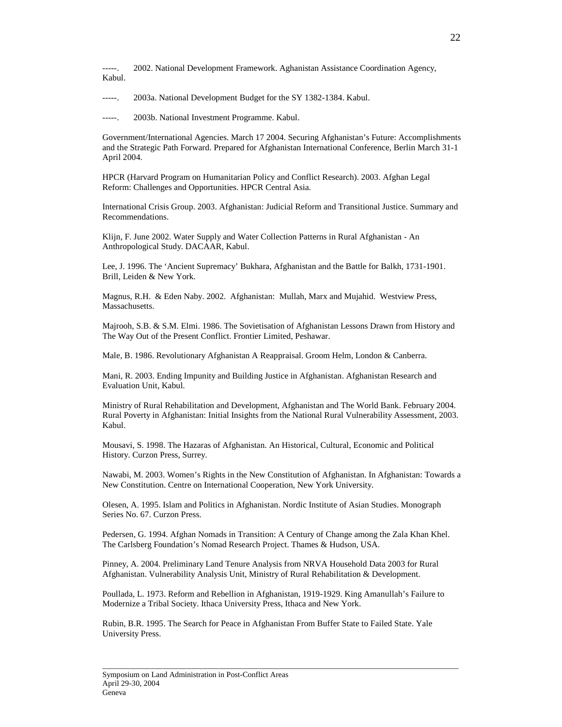-----. 2002. National Development Framework. Aghanistan Assistance Coordination Agency, Kabul.

-----. 2003a. National Development Budget for the SY 1382-1384. Kabul.

-----. 2003b. National Investment Programme. Kabul.

Government/International Agencies. March 17 2004. Securing Afghanistan's Future: Accomplishments and the Strategic Path Forward. Prepared for Afghanistan International Conference, Berlin March 31-1 April 2004.

HPCR (Harvard Program on Humanitarian Policy and Conflict Research). 2003. Afghan Legal Reform: Challenges and Opportunities. HPCR Central Asia.

International Crisis Group. 2003. Afghanistan: Judicial Reform and Transitional Justice. Summary and Recommendations.

Klijn, F. June 2002. Water Supply and Water Collection Patterns in Rural Afghanistan - An Anthropological Study. DACAAR, Kabul.

Lee, J. 1996. The 'Ancient Supremacy' Bukhara, Afghanistan and the Battle for Balkh, 1731-1901. Brill, Leiden & New York.

Magnus, R.H. & Eden Naby. 2002. Afghanistan: Mullah, Marx and Mujahid. Westview Press, Massachusetts.

Majrooh, S.B. & S.M. Elmi. 1986. The Sovietisation of Afghanistan Lessons Drawn from History and The Way Out of the Present Conflict. Frontier Limited, Peshawar.

Male, B. 1986. Revolutionary Afghanistan A Reappraisal. Groom Helm, London & Canberra.

Mani, R. 2003. Ending Impunity and Building Justice in Afghanistan. Afghanistan Research and Evaluation Unit, Kabul.

Ministry of Rural Rehabilitation and Development, Afghanistan and The World Bank. February 2004. Rural Poverty in Afghanistan: Initial Insights from the National Rural Vulnerability Assessment, 2003. Kabul.

Mousavi, S. 1998. The Hazaras of Afghanistan. An Historical, Cultural, Economic and Political History. Curzon Press, Surrey.

Nawabi, M. 2003. Women's Rights in the New Constitution of Afghanistan. In Afghanistan: Towards a New Constitution. Centre on International Cooperation, New York University.

Olesen, A. 1995. Islam and Politics in Afghanistan. Nordic Institute of Asian Studies. Monograph Series No. 67. Curzon Press.

Pedersen, G. 1994. Afghan Nomads in Transition: A Century of Change among the Zala Khan Khel. The Carlsberg Foundation's Nomad Research Project. Thames & Hudson, USA.

Pinney, A. 2004. Preliminary Land Tenure Analysis from NRVA Household Data 2003 for Rural Afghanistan. Vulnerability Analysis Unit, Ministry of Rural Rehabilitation & Development.

Poullada, L. 1973. Reform and Rebellion in Afghanistan, 1919-1929. King Amanullah's Failure to Modernize a Tribal Society. Ithaca University Press, Ithaca and New York.

\_\_\_\_\_\_\_\_\_\_\_\_\_\_\_\_\_\_\_\_\_\_\_\_\_\_\_\_\_\_\_\_\_\_\_\_\_\_\_\_\_\_\_\_\_\_\_\_\_\_\_\_\_\_\_\_\_\_\_\_\_\_\_\_\_\_\_\_\_\_\_\_\_\_\_\_\_\_\_\_\_\_\_\_\_\_\_\_\_\_

Rubin, B.R. 1995. The Search for Peace in Afghanistan From Buffer State to Failed State. Yale University Press.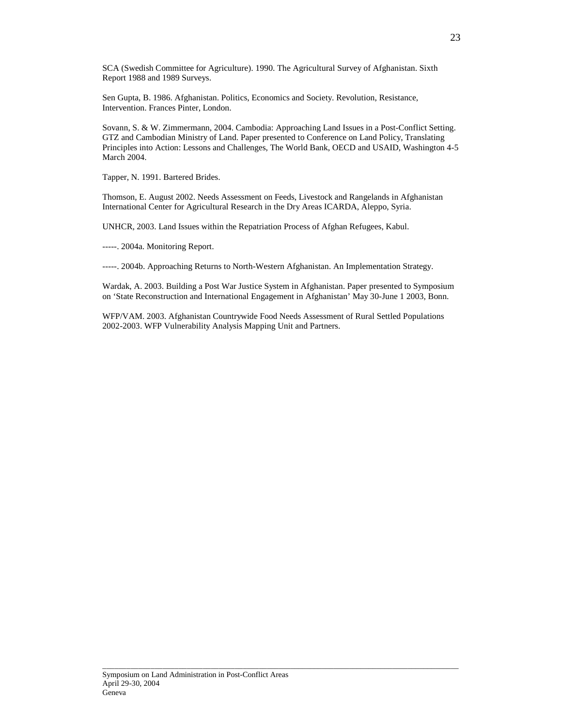SCA (Swedish Committee for Agriculture). 1990. The Agricultural Survey of Afghanistan. Sixth Report 1988 and 1989 Surveys.

Sen Gupta, B. 1986. Afghanistan. Politics, Economics and Society. Revolution, Resistance, Intervention. Frances Pinter, London.

Sovann, S. & W. Zimmermann, 2004. Cambodia: Approaching Land Issues in a Post-Conflict Setting. GTZ and Cambodian Ministry of Land. Paper presented to Conference on Land Policy, Translating Principles into Action: Lessons and Challenges, The World Bank, OECD and USAID, Washington 4-5 March 2004.

Tapper, N. 1991. Bartered Brides.

Thomson, E. August 2002. Needs Assessment on Feeds, Livestock and Rangelands in Afghanistan International Center for Agricultural Research in the Dry Areas ICARDA, Aleppo, Syria.

UNHCR, 2003. Land Issues within the Repatriation Process of Afghan Refugees, Kabul.

-----. 2004a. Monitoring Report.

-----. 2004b. Approaching Returns to North-Western Afghanistan. An Implementation Strategy.

Wardak, A. 2003. Building a Post War Justice System in Afghanistan. Paper presented to Symposium on 'State Reconstruction and International Engagement in Afghanistan' May 30-June 1 2003, Bonn.

WFP/VAM. 2003. Afghanistan Countrywide Food Needs Assessment of Rural Settled Populations 2002-2003. WFP Vulnerability Analysis Mapping Unit and Partners.